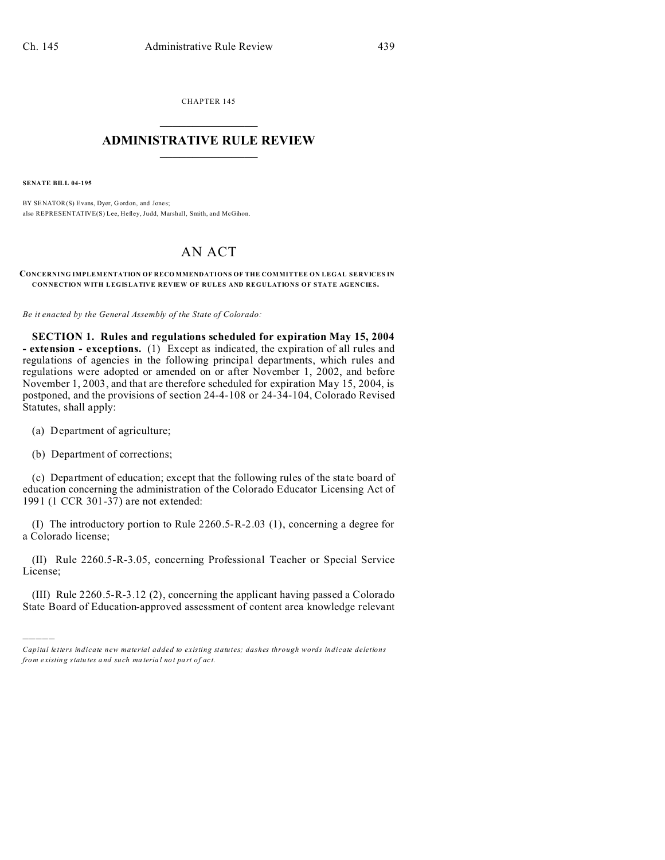CHAPTER 145  $\overline{\phantom{a}}$  , where  $\overline{\phantom{a}}$ 

## **ADMINISTRATIVE RULE REVIEW**  $\_$   $\_$   $\_$   $\_$   $\_$   $\_$   $\_$   $\_$

**SENATE BILL 04-195**

BY SENATOR(S) Evans, Dyer, Gordon, and Jones; also REPRESENTATIVE(S) Lee, Hefley, Judd, Marshall, Smith, and McGihon.

## AN ACT

## **CONCERNING IMPLEMENTATION OF RECO MMENDATIONS OF THE COMMITTEE ON LEGAL SERVICES IN CONNECTION WITH LEGISLATIVE REVIEW OF RULES AND REGULATIONS OF STATE AGENCIES.**

*Be it enacted by the General Assembly of the State of Colorado:*

**SECTION 1. Rules and regulations scheduled for expiration May 15, 2004 - extension - exceptions.** (1) Except as indicated, the expiration of all rules and regulations of agencies in the following principal departments, which rules and regulations were adopted or amended on or after November 1, 2002, and before November 1, 2003, and that are therefore scheduled for expiration May 15, 2004, is postponed, and the provisions of section 24-4-108 or 24-34-104, Colorado Revised Statutes, shall apply:

(a) Department of agriculture;

(b) Department of corrections;

)))))

(c) Department of education; except that the following rules of the state board of education concerning the administration of the Colorado Educator Licensing Act of 1991 (1 CCR 301-37) are not extended:

(I) The introductory portion to Rule 2260.5-R-2.03 (1), concerning a degree for a Colorado license;

(II) Rule 2260.5-R-3.05, concerning Professional Teacher or Special Service License;

(III) Rule 2260.5-R-3.12 (2), concerning the applicant having passed a Colorado State Board of Education-approved assessment of content area knowledge relevant

*Capital letters indicate new material added to existing statutes; dashes through words indicate deletions from e xistin g statu tes a nd such ma teria l no t pa rt of ac t.*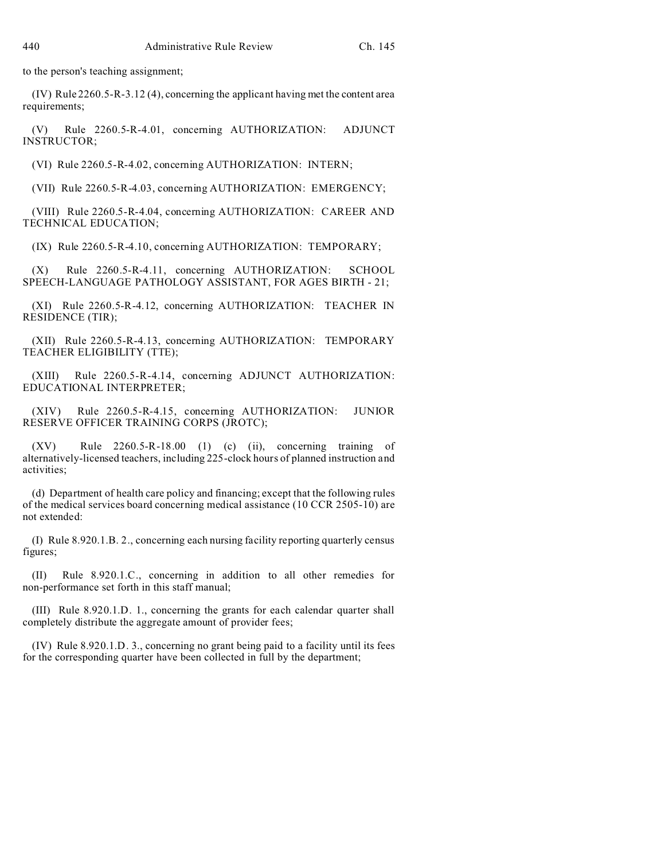to the person's teaching assignment;

(IV) Rule 2260.5-R-3.12 (4), concerning the applicant having met the content area requirements;

(V) Rule 2260.5-R-4.01, concerning AUTHORIZATION: ADJUNCT INSTRUCTOR;

(VI) Rule 2260.5-R-4.02, concerning AUTHORIZATION: INTERN;

(VII) Rule 2260.5-R-4.03, concerning AUTHORIZATION: EMERGENCY;

(VIII) Rule 2260.5-R-4.04, concerning AUTHORIZATION: CAREER AND TECHNICAL EDUCATION;

(IX) Rule 2260.5-R-4.10, concerning AUTHORIZATION: TEMPORARY;

(X) Rule 2260.5-R-4.11, concerning AUTHORIZATION: SCHOOL SPEECH-LANGUAGE PATHOLOGY ASSISTANT, FOR AGES BIRTH - 21;

(XI) Rule 2260.5-R-4.12, concerning AUTHORIZATION: TEACHER IN RESIDENCE (TIR);

(XII) Rule 2260.5-R-4.13, concerning AUTHORIZATION: TEMPORARY TEACHER ELIGIBILITY (TTE);

(XIII) Rule 2260.5-R-4.14, concerning ADJUNCT AUTHORIZATION: EDUCATIONAL INTERPRETER;

(XIV) Rule 2260.5-R-4.15, concerning AUTHORIZATION: JUNIOR RESERVE OFFICER TRAINING CORPS (JROTC);

(XV) Rule 2260.5-R-18.00 (1) (c) (ii), concerning training of alternatively-licensed teachers, including 225-clock hours of planned instruction and activities;

(d) Department of health care policy and financing; except that the following rules of the medical services board concerning medical assistance (10 CCR 2505-10) are not extended:

(I) Rule 8.920.1.B. 2., concerning each nursing facility reporting quarterly census figures;

Rule 8.920.1.C., concerning in addition to all other remedies for non-performance set forth in this staff manual;

(III) Rule 8.920.1.D. 1., concerning the grants for each calendar quarter shall completely distribute the aggregate amount of provider fees;

(IV) Rule 8.920.1.D. 3., concerning no grant being paid to a facility until its fees for the corresponding quarter have been collected in full by the department;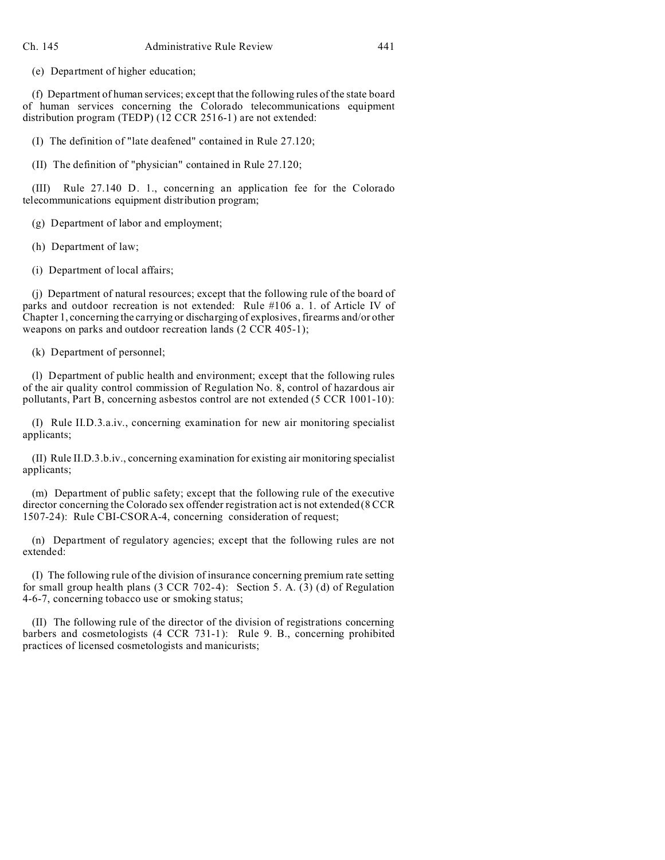(e) Department of higher education;

(f) Department of human services; except that the following rules of the state board of human services concerning the Colorado telecommunications equipment distribution program (TEDP) (12 CCR 2516-1) are not extended:

(I) The definition of "late deafened" contained in Rule 27.120;

(II) The definition of "physician" contained in Rule 27.120;

(III) Rule 27.140 D. 1., concerning an application fee for the Colorado telecommunications equipment distribution program;

(g) Department of labor and employment;

(h) Department of law;

(i) Department of local affairs;

(j) Department of natural resources; except that the following rule of the board of parks and outdoor recreation is not extended: Rule #106 a. 1. of Article IV of Chapter 1, concerning the carrying or discharging of explosives, firearms and/or other weapons on parks and outdoor recreation lands (2 CCR 405-1);

(k) Department of personnel;

(l) Department of public health and environment; except that the following rules of the air quality control commission of Regulation No. 8, control of hazardous air pollutants, Part B, concerning asbestos control are not extended (5 CCR 1001-10):

(I) Rule II.D.3.a.iv., concerning examination for new air monitoring specialist applicants;

(II) Rule II.D.3.b.iv., concerning examination for existing air monitoring specialist applicants;

(m) Department of public safety; except that the following rule of the executive director concerning the Colorado sex offender registration act is not extended (8 CCR 1507-24): Rule CBI-CSORA-4, concerning consideration of request;

(n) Department of regulatory agencies; except that the following rules are not extended:

(I) The following rule of the division of insurance concerning premium rate setting for small group health plans (3 CCR 702-4): Section 5. A. (3) (d) of Regulation 4-6-7, concerning tobacco use or smoking status;

(II) The following rule of the director of the division of registrations concerning barbers and cosmetologists (4 CCR 731-1): Rule 9. B., concerning prohibited practices of licensed cosmetologists and manicurists;